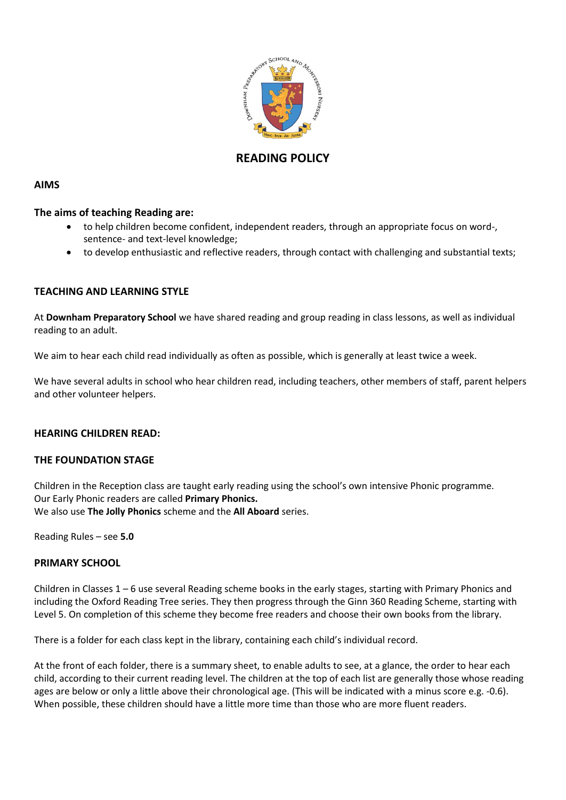

# **READING POLICY**

# **AIMS**

## **The aims of teaching Reading are:**

- to help children become confident, independent readers, through an appropriate focus on word-, sentence- and text-level knowledge;
- to develop enthusiastic and reflective readers, through contact with challenging and substantial texts;

# **TEACHING AND LEARNING STYLE**

At **Downham Preparatory School** we have shared reading and group reading in class lessons, as well as individual reading to an adult.

We aim to hear each child read individually as often as possible, which is generally at least twice a week.

We have several adults in school who hear children read, including teachers, other members of staff, parent helpers and other volunteer helpers.

### **HEARING CHILDREN READ:**

### **THE FOUNDATION STAGE**

Children in the Reception class are taught early reading using the school's own intensive Phonic programme. Our Early Phonic readers are called **Primary Phonics.**  We also use **The Jolly Phonics** scheme and the **All Aboard** series.

Reading Rules – see **5.0**

### **PRIMARY SCHOOL**

Children in Classes 1 – 6 use several Reading scheme books in the early stages, starting with Primary Phonics and including the Oxford Reading Tree series. They then progress through the Ginn 360 Reading Scheme, starting with Level 5. On completion of this scheme they become free readers and choose their own books from the library.

There is a folder for each class kept in the library, containing each child's individual record.

At the front of each folder, there is a summary sheet, to enable adults to see, at a glance, the order to hear each child, according to their current reading level. The children at the top of each list are generally those whose reading ages are below or only a little above their chronological age. (This will be indicated with a minus score e.g. -0.6). When possible, these children should have a little more time than those who are more fluent readers.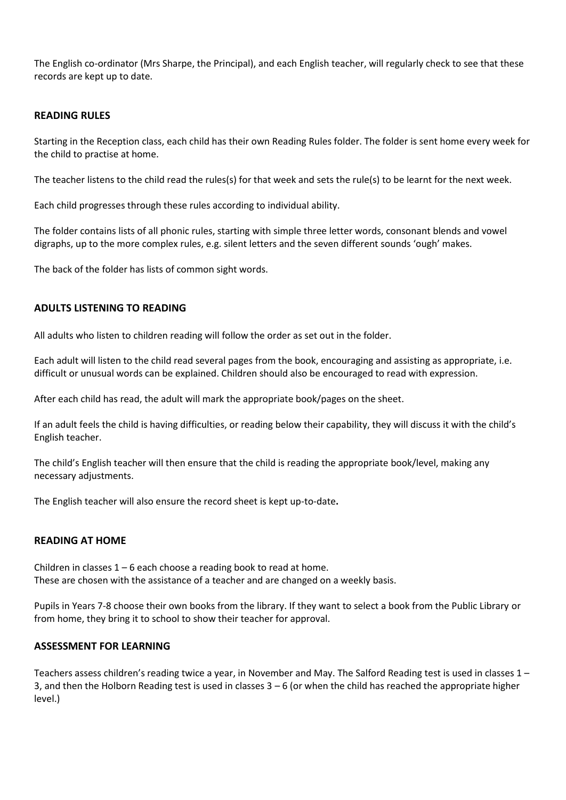The English co-ordinator (Mrs Sharpe, the Principal), and each English teacher, will regularly check to see that these records are kept up to date.

## **READING RULES**

Starting in the Reception class, each child has their own Reading Rules folder. The folder is sent home every week for the child to practise at home.

The teacher listens to the child read the rules(s) for that week and sets the rule(s) to be learnt for the next week.

Each child progresses through these rules according to individual ability.

The folder contains lists of all phonic rules, starting with simple three letter words, consonant blends and vowel digraphs, up to the more complex rules, e.g. silent letters and the seven different sounds 'ough' makes.

The back of the folder has lists of common sight words.

# **ADULTS LISTENING TO READING**

All adults who listen to children reading will follow the order as set out in the folder.

Each adult will listen to the child read several pages from the book, encouraging and assisting as appropriate, i.e. difficult or unusual words can be explained. Children should also be encouraged to read with expression.

After each child has read, the adult will mark the appropriate book/pages on the sheet.

If an adult feels the child is having difficulties, or reading below their capability, they will discuss it with the child's English teacher.

The child's English teacher will then ensure that the child is reading the appropriate book/level, making any necessary adjustments.

The English teacher will also ensure the record sheet is kept up-to-date**.**

# **READING AT HOME**

Children in classes  $1 - 6$  each choose a reading book to read at home. These are chosen with the assistance of a teacher and are changed on a weekly basis.

Pupils in Years 7-8 choose their own books from the library. If they want to select a book from the Public Library or from home, they bring it to school to show their teacher for approval.

### **ASSESSMENT FOR LEARNING**

Teachers assess children's reading twice a year, in November and May. The Salford Reading test is used in classes 1 – 3, and then the Holborn Reading test is used in classes  $3 - 6$  (or when the child has reached the appropriate higher level.)